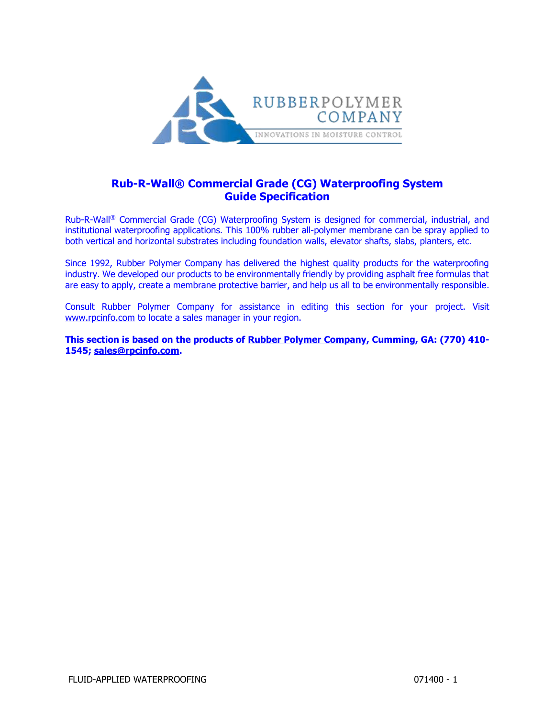

# **Rub-R-Wall® Commercial Grade (CG) Waterproofing System Guide Specification**

Rub-R-Wall® Commercial Grade (CG) Waterproofing System is designed for commercial, industrial, and institutional waterproofing applications. This 100% rubber all-polymer membrane can be spray applied to both vertical and horizontal substrates including foundation walls, elevator shafts, slabs, planters, etc.

Since 1992, Rubber Polymer Company has delivered the highest quality products for the waterproofing industry. We developed our products to be environmentally friendly by providing asphalt free formulas that are easy to apply, create a membrane protective barrier, and help us all to be environmentally responsible.

Consult Rubber Polymer Company for assistance in editing this section for your project. Visit [www.rpcinfo.com](https://www.rpcinfo.com/) to locate a sales manager in your region.

**This section is based on the products of [Rubber Polymer Company,](https://www.rpcinfo.com/commercial-waterproofing.html) Cumming, GA: (770) 410- 1545; [sales@rpcinfo.com.](mailto:sales@rpcinfo.com)**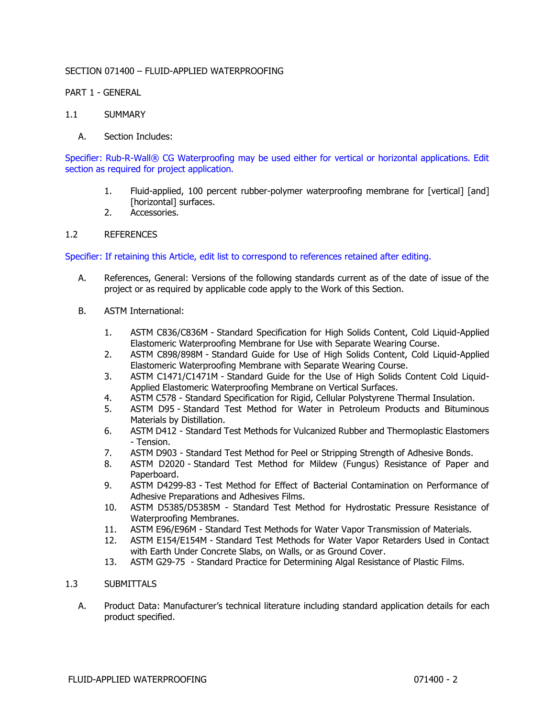# SECTION 071400 – FLUID-APPLIED WATERPROOFING

# PART 1 - GENERAL

# 1.1 SUMMARY

A. Section Includes:

Specifier: Rub-R-Wall® CG Waterproofing may be used either for vertical or horizontal applications. Edit section as required for project application.

- 1. Fluid-applied, 100 percent rubber-polymer waterproofing membrane for [vertical] [and] [horizontal] surfaces.
- 2. Accessories.

# 1.2 REFERENCES

Specifier: If retaining this Article, edit list to correspond to references retained after editing.

- A. References, General: Versions of the following standards current as of the date of issue of the project or as required by applicable code apply to the Work of this Section.
- B. ASTM International:
	- 1. ASTM C836/C836M Standard Specification for High Solids Content, Cold Liquid-Applied Elastomeric Waterproofing Membrane for Use with Separate Wearing Course.
	- 2. ASTM C898/898M Standard Guide for Use of High Solids Content, Cold Liquid-Applied Elastomeric Waterproofing Membrane with Separate Wearing Course.
	- 3. ASTM C1471/C1471M Standard Guide for the Use of High Solids Content Cold Liquid-Applied Elastomeric Waterproofing Membrane on Vertical Surfaces.
	- 4. ASTM C578 Standard Specification for Rigid, Cellular Polystyrene Thermal Insulation.
	- 5. ASTM D95 Standard Test Method for Water in Petroleum Products and Bituminous Materials by Distillation.
	- 6. ASTM D412 Standard Test Methods for Vulcanized Rubber and Thermoplastic Elastomers - Tension.
	- 7. ASTM D903 Standard Test Method for Peel or Stripping Strength of Adhesive Bonds.
	- 8. ASTM D2020 Standard Test Method for Mildew (Fungus) Resistance of Paper and Paperboard.
	- 9. ASTM D4299-83 Test Method for Effect of Bacterial Contamination on Performance of Adhesive Preparations and Adhesives Films.
	- 10. ASTM D5385/D5385M Standard Test Method for Hydrostatic Pressure Resistance of Waterproofing Membranes.
	- 11. ASTM E96/E96M Standard Test Methods for Water Vapor Transmission of Materials.
	- 12. ASTM E154/E154M Standard Test Methods for Water Vapor Retarders Used in Contact with Earth Under Concrete Slabs, on Walls, or as Ground Cover.
	- 13. ASTM G29-75 Standard Practice for Determining Algal Resistance of Plastic Films.

# 1.3 SUBMITTALS

A. Product Data: Manufacturer's technical literature including standard application details for each product specified.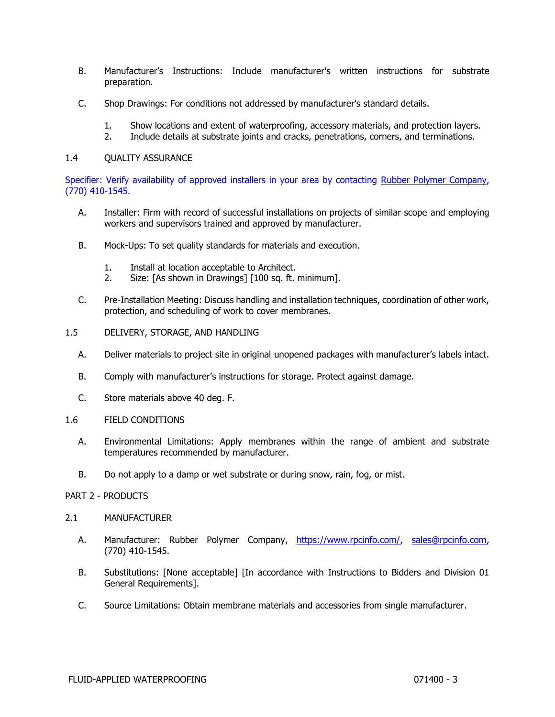- B. Manufacturer's Instructions: Include manufacturer's written instructions for substrate preparation.
- C. Shop Drawings: For conditions not addressed by manufacturer's standard details.
	- 1. Show locations and extent of waterproofing, accessory materials, and protection layers.
	- 2. Include details at substrate joints and cracks, penetrations, corners, and terminations.

#### 1.4 QUALITY ASSURANCE

Specifier: Verify availability of approved installers in your area by contacting [Rubber Polymer](https://www.rpcinfo.com/commercial-waterproofing.html) Company, (770) 410-1545.

- A. Installer: Firm with record of successful installations on projects of similar scope and employing workers and supervisors trained and approved by manufacturer.
- B. Mock-Ups: To set quality standards for materials and execution.
	- 1. Install at location acceptable to Architect.
	- 2. Size: [As shown in Drawings] [100 sq. ft. minimum].
- C. Pre-Installation Meeting: Discuss handling and installation techniques, coordination of other work, protection, and scheduling of work to cover membranes.
- 1.5 DELIVERY, STORAGE, AND HANDLING
	- A. Deliver materials to project site in original unopened packages with manufacturer's labels intact.
	- B. Comply with manufacturer's instructions for storage. Protect against damage.
	- C. Store materials above 40 deg. F.
- 1.6 FIELD CONDITIONS
	- A. Environmental Limitations: Apply membranes within the range of ambient and substrate temperatures recommended by manufacturer.
	- B. Do not apply to a damp or wet substrate or during snow, rain, fog, or mist.

#### PART 2 - PRODUCTS

#### 2.1 MANUFACTURER

- A. Manufacturer: Rubber Polymer Company, [https://www.rpcinfo.com/,](https://www.rpcinfo.com/) [sales@rpcinfo.com,](mailto:sales@rpcinfo.com) (770) 410-1545.
- B. Substitutions: [None acceptable] [In accordance with Instructions to Bidders and Division 01 General Requirements].
- C. Source Limitations: Obtain membrane materials and accessories from single manufacturer.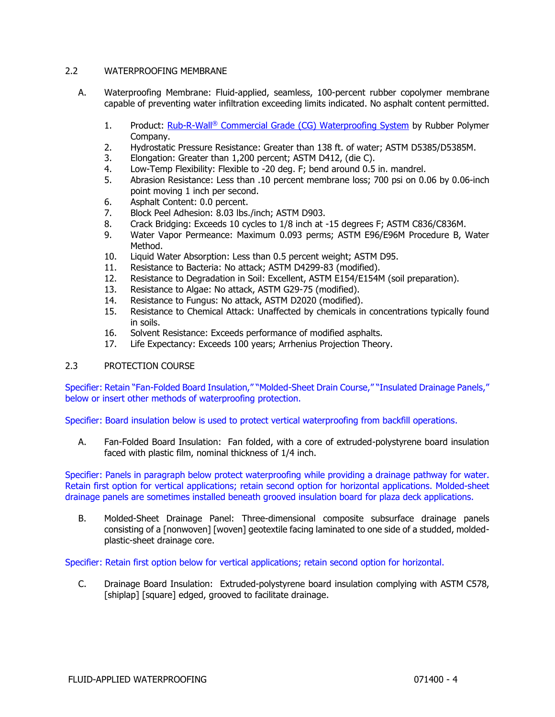# 2.2 WATERPROOFING MEMBRANE

- A. Waterproofing Membrane: Fluid-applied, seamless, 100-percent rubber copolymer membrane capable of preventing water infiltration exceeding limits indicated. No asphalt content permitted.
	- 1. Product: Rub-R-Wall<sup>®</sup> [Commercial Gr](https://www.rpcinfo.com/commercial-waterproofing.html)ade (CG) Waterproofing System by Rubber Polymer Company.
	- 2. Hydrostatic Pressure Resistance: Greater than 138 ft. of water; ASTM D5385/D5385M.
	- 3. Elongation: Greater than 1,200 percent; ASTM D412, (die C).
	- 4. Low-Temp Flexibility: Flexible to -20 deg. F; bend around 0.5 in. mandrel.
	- 5. Abrasion Resistance: Less than .10 percent membrane loss; 700 psi on 0.06 by 0.06-inch point moving 1 inch per second.
	- 6. Asphalt Content: 0.0 percent.
	- 7. Block Peel Adhesion: 8.03 lbs./inch; ASTM D903.
	- 8. Crack Bridging: Exceeds 10 cycles to 1/8 inch at -15 degrees F; ASTM C836/C836M.
	- 9. Water Vapor Permeance: Maximum 0.093 perms; ASTM E96/E96M Procedure B, Water Method.
	- 10. Liquid Water Absorption: Less than 0.5 percent weight; ASTM D95.
	- 11. Resistance to Bacteria: No attack; ASTM D4299-83 (modified).
	- 12. Resistance to Degradation in Soil: Excellent, ASTM E154/E154M (soil preparation).
	- 13. Resistance to Algae: No attack, ASTM G29-75 (modified).
	- 14. Resistance to Fungus: No attack, ASTM D2020 (modified).
	- 15. Resistance to Chemical Attack: Unaffected by chemicals in concentrations typically found in soils.
	- 16. Solvent Resistance: Exceeds performance of modified asphalts.
	- 17. Life Expectancy: Exceeds 100 years; Arrhenius Projection Theory.

# 2.3 PROTECTION COURSE

Specifier: Retain "Fan-Folded Board Insulation," "Molded-Sheet Drain Course," "Insulated Drainage Panels," below or insert other methods of waterproofing protection.

Specifier: Board insulation below is used to protect vertical waterproofing from backfill operations.

A. Fan-Folded Board Insulation: Fan folded, with a core of extruded-polystyrene board insulation faced with plastic film, nominal thickness of 1/4 inch.

Specifier: Panels in paragraph below protect waterproofing while providing a drainage pathway for water. Retain first option for vertical applications; retain second option for horizontal applications. Molded-sheet drainage panels are sometimes installed beneath grooved insulation board for plaza deck applications.

B. Molded-Sheet Drainage Panel: Three-dimensional composite subsurface drainage panels consisting of a [nonwoven] [woven] geotextile facing laminated to one side of a studded, moldedplastic-sheet drainage core.

Specifier: Retain first option below for vertical applications; retain second option for horizontal.

C. Drainage Board Insulation: Extruded-polystyrene board insulation complying with ASTM C578, [shiplap] [square] edged, grooved to facilitate drainage.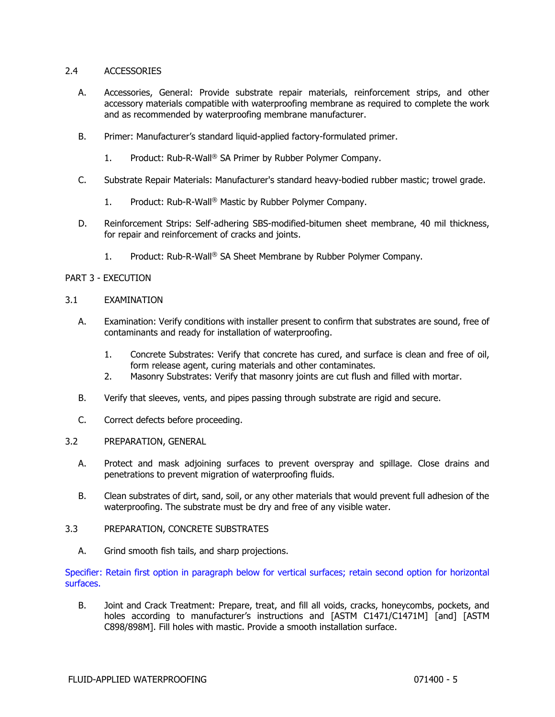# 2.4 ACCESSORIES

- A. Accessories, General: Provide substrate repair materials, reinforcement strips, and other accessory materials compatible with waterproofing membrane as required to complete the work and as recommended by waterproofing membrane manufacturer.
- B. Primer: Manufacturer's standard liquid-applied factory-formulated primer.
	- 1. Product: Rub-R-Wall® SA Primer by Rubber Polymer Company.
- C. Substrate Repair Materials: Manufacturer's standard heavy-bodied rubber mastic; trowel grade.
	- 1. Product: Rub-R-Wall® Mastic by Rubber Polymer Company.
- D. Reinforcement Strips: Self-adhering SBS-modified-bitumen sheet membrane, 40 mil thickness, for repair and reinforcement of cracks and joints.
	- 1. Product: Rub-R-Wall® SA Sheet Membrane by Rubber Polymer Company.

# PART 3 - EXECUTION

- 3.1 EXAMINATION
	- A. Examination: Verify conditions with installer present to confirm that substrates are sound, free of contaminants and ready for installation of waterproofing.
		- 1. Concrete Substrates: Verify that concrete has cured, and surface is clean and free of oil, form release agent, curing materials and other contaminates.
		- 2. Masonry Substrates: Verify that masonry joints are cut flush and filled with mortar.
	- B. Verify that sleeves, vents, and pipes passing through substrate are rigid and secure.
	- C. Correct defects before proceeding.
- 3.2 PREPARATION, GENERAL
	- A. Protect and mask adjoining surfaces to prevent overspray and spillage. Close drains and penetrations to prevent migration of waterproofing fluids.
	- B. Clean substrates of dirt, sand, soil, or any other materials that would prevent full adhesion of the waterproofing. The substrate must be dry and free of any visible water.
- 3.3 PREPARATION, CONCRETE SUBSTRATES
	- A. Grind smooth fish tails, and sharp projections.

Specifier: Retain first option in paragraph below for vertical surfaces; retain second option for horizontal surfaces.

B. Joint and Crack Treatment: Prepare, treat, and fill all voids, cracks, honeycombs, pockets, and holes according to manufacturer's instructions and [ASTM C1471/C1471M] [and] [ASTM C898/898M]. Fill holes with mastic. Provide a smooth installation surface.